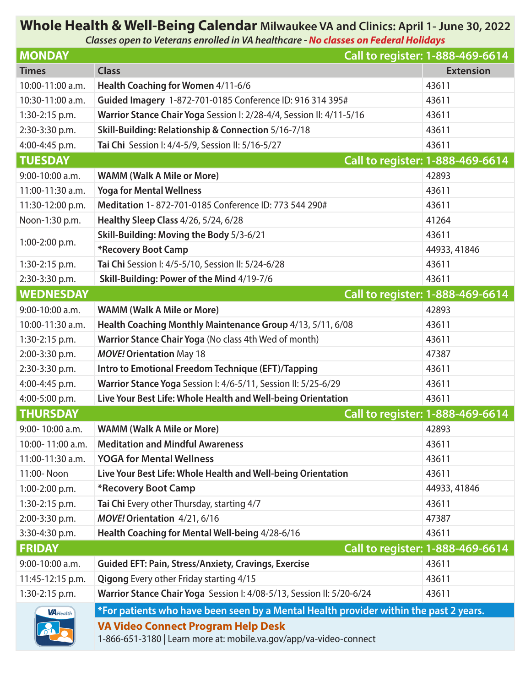# **Whole Health & Well-Being Calendar Milwaukee VA and Clinics: April 1- June 30, 2022**

*Classes open to Veterans enrolled in VA healthcare - No classes on Federal Holidays*

| <b>MONDAY</b>     |                                                                                                                 | Call to register: 1-888-469-6614 |
|-------------------|-----------------------------------------------------------------------------------------------------------------|----------------------------------|
| <b>Times</b>      | <b>Class</b>                                                                                                    | <b>Extension</b>                 |
| 10:00-11:00 a.m.  | Health Coaching for Women 4/11-6/6                                                                              | 43611                            |
| 10:30-11:00 a.m.  | Guided Imagery 1-872-701-0185 Conference ID: 916 314 395#                                                       | 43611                            |
| 1:30-2:15 p.m.    | Warrior Stance Chair Yoga Session I: 2/28-4/4, Session II: 4/11-5/16                                            | 43611                            |
| 2:30-3:30 p.m.    | Skill-Building: Relationship & Connection 5/16-7/18                                                             | 43611                            |
| 4:00-4:45 p.m.    | Tai Chi Session I: 4/4-5/9, Session II: 5/16-5/27                                                               | 43611                            |
| <b>TUESDAY</b>    |                                                                                                                 | Call to register: 1-888-469-6614 |
| $9:00-10:00$ a.m. | <b>WAMM (Walk A Mile or More)</b>                                                                               | 42893                            |
| 11:00-11:30 a.m.  | <b>Yoga for Mental Wellness</b>                                                                                 | 43611                            |
| 11:30-12:00 p.m.  | Meditation 1-872-701-0185 Conference ID: 773 544 290#                                                           | 43611                            |
| Noon-1:30 p.m.    | Healthy Sleep Class 4/26, 5/24, 6/28                                                                            | 41264                            |
| 1:00-2:00 p.m.    | Skill-Building: Moving the Body 5/3-6/21                                                                        | 43611                            |
|                   | *Recovery Boot Camp                                                                                             | 44933, 41846                     |
| 1:30-2:15 p.m.    | Tai Chi Session I: 4/5-5/10, Session II: 5/24-6/28                                                              | 43611                            |
| 2:30-3:30 p.m.    | Skill-Building: Power of the Mind 4/19-7/6                                                                      | 43611                            |
| <b>WEDNESDAY</b>  |                                                                                                                 | Call to register: 1-888-469-6614 |
| 9:00-10:00 a.m.   | <b>WAMM (Walk A Mile or More)</b>                                                                               | 42893                            |
| 10:00-11:30 a.m.  | Health Coaching Monthly Maintenance Group 4/13, 5/11, 6/08                                                      | 43611                            |
| 1:30-2:15 p.m.    | Warrior Stance Chair Yoga (No class 4th Wed of month)                                                           | 43611                            |
| 2:00-3:30 p.m.    | <b>MOVE! Orientation May 18</b>                                                                                 | 47387                            |
| 2:30-3:30 p.m.    | Intro to Emotional Freedom Technique (EFT)/Tapping                                                              | 43611                            |
| 4:00-4:45 p.m.    | Warrior Stance Yoga Session I: 4/6-5/11, Session II: 5/25-6/29                                                  | 43611                            |
| 4:00-5:00 p.m.    | Live Your Best Life: Whole Health and Well-being Orientation                                                    | 43611                            |
| <b>THURSDAY</b>   |                                                                                                                 | Call to register: 1-888-469-6614 |
| 9:00-10:00 a.m.   | <b>WAMM (Walk A Mile or More)</b>                                                                               | 42893                            |
| 10:00-11:00 a.m.  | <b>Meditation and Mindful Awareness</b>                                                                         | 43611                            |
| 11:00-11:30 a.m.  | <b>YOGA for Mental Wellness</b>                                                                                 | 43611                            |
| 11:00-Noon        | Live Your Best Life: Whole Health and Well-being Orientation                                                    | 43611                            |
| 1:00-2:00 p.m.    | *Recovery Boot Camp                                                                                             | 44933, 41846                     |
| 1:30-2:15 p.m.    | Tai Chi Every other Thursday, starting 4/7                                                                      | 43611                            |
| 2:00-3:30 p.m.    | MOVE! Orientation 4/21, 6/16                                                                                    | 47387                            |
| 3:30-4:30 p.m.    | Health Coaching for Mental Well-being 4/28-6/16                                                                 | 43611                            |
| <b>FRIDAY</b>     |                                                                                                                 | Call to register: 1-888-469-6614 |
| 9:00-10:00 a.m.   | <b>Guided EFT: Pain, Stress/Anxiety, Cravings, Exercise</b>                                                     | 43611                            |
| 11:45-12:15 p.m.  | <b>Qigong Every other Friday starting 4/15</b>                                                                  | 43611                            |
| 1:30-2:15 p.m.    | Warrior Stance Chair Yoga Session I: 4/08-5/13, Session II: 5/20-6/24                                           | 43611                            |
| <b>VA</b> Health  | *For patients who have been seen by a Mental Health provider within the past 2 years.                           |                                  |
|                   | <b>VA Video Connect Program Help Desk</b><br>1-866-651-3180   Learn more at: mobile.va.gov/app/va-video-connect |                                  |